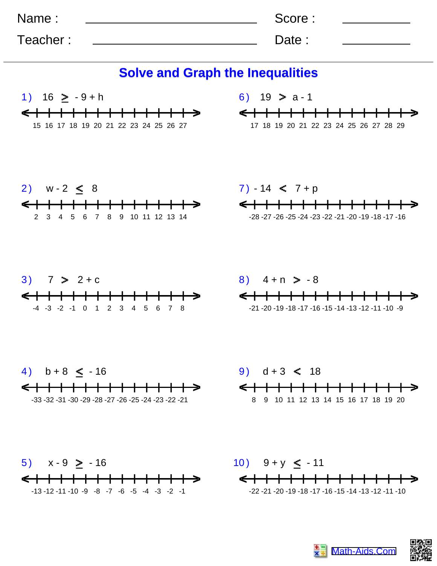| Name:    | Score: |  |
|----------|--------|--|
| Teacher: | Date:  |  |